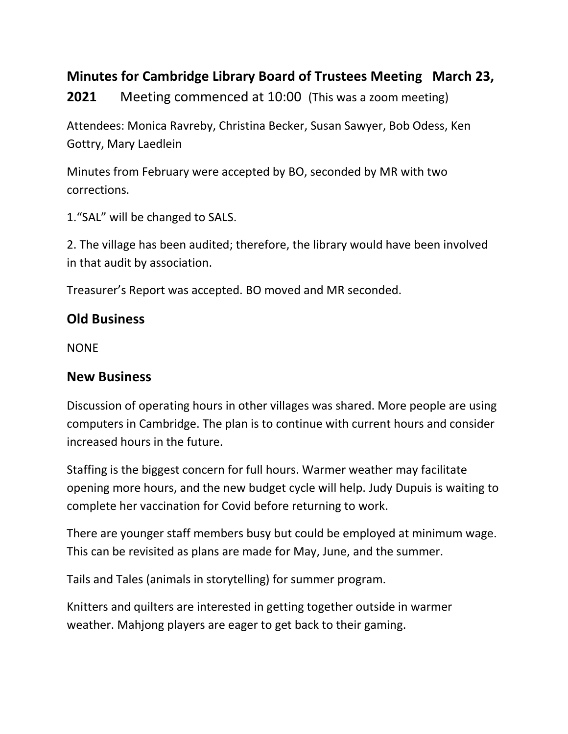## **Minutes for Cambridge Library Board of Trustees Meeting March 23,**

**2021** Meeting commenced at 10:00 (This was a zoom meeting)

Attendees: Monica Ravreby, Christina Becker, Susan Sawyer, Bob Odess, Ken Gottry, Mary Laedlein

Minutes from February were accepted by BO, seconded by MR with two corrections.

1."SAL" will be changed to SALS.

2. The village has been audited; therefore, the library would have been involved in that audit by association.

Treasurer's Report was accepted. BO moved and MR seconded.

## **Old Business**

NONE

## **New Business**

Discussion of operating hours in other villages was shared. More people are using computers in Cambridge. The plan is to continue with current hours and consider increased hours in the future.

Staffing is the biggest concern for full hours. Warmer weather may facilitate opening more hours, and the new budget cycle will help. Judy Dupuis is waiting to complete her vaccination for Covid before returning to work.

There are younger staff members busy but could be employed at minimum wage. This can be revisited as plans are made for May, June, and the summer.

Tails and Tales (animals in storytelling) for summer program.

Knitters and quilters are interested in getting together outside in warmer weather. Mahjong players are eager to get back to their gaming.